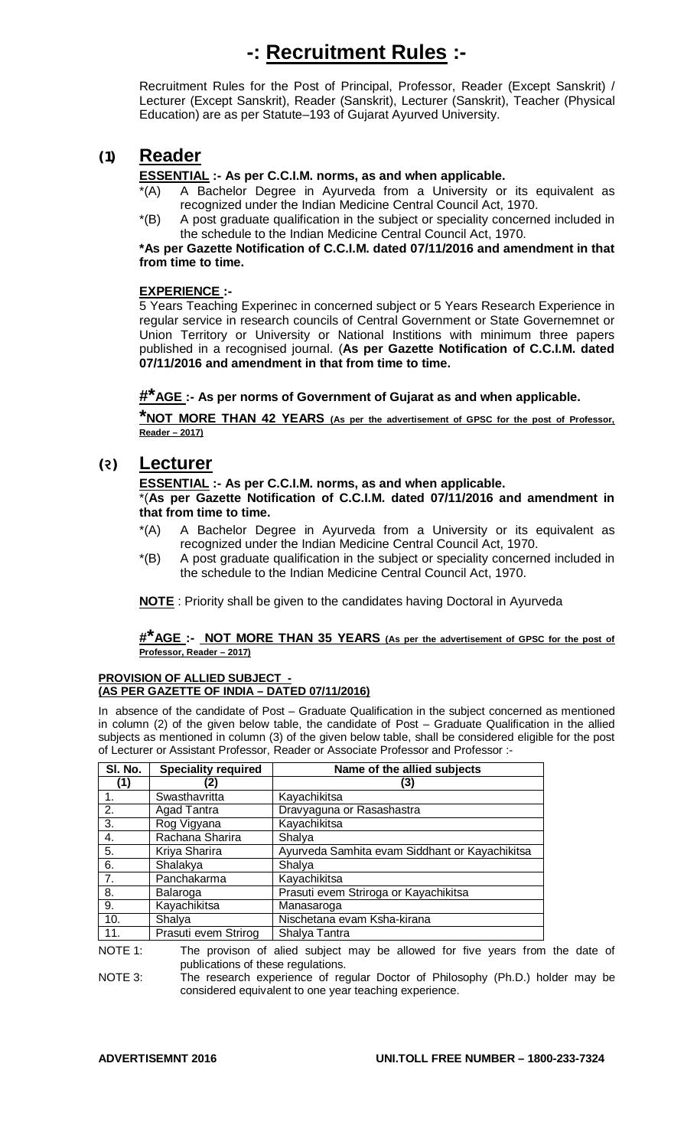# **-: Recruitment Rules :-**

Recruitment Rules for the Post of Principal, Professor, Reader (Except Sanskrit) / Lecturer (Except Sanskrit), Reader (Sanskrit), Lecturer (Sanskrit), Teacher (Physical Education) are as per Statute–193 of Gujarat Ayurved University.

# **(1) Reader**

## **ESSENTIAL :- As per C.C.I.M. norms, as and when applicable.**

- \*(A) A Bachelor Degree in Ayurveda from a University or its equivalent as recognized under the Indian Medicine Central Council Act, 1970.
- \*(B) A post graduate qualification in the subject or speciality concerned included in the schedule to the Indian Medicine Central Council Act, 1970.

**\*As per Gazette Notification of C.C.I.M. dated 07/11/2016 and amendment in that from time to time.**

## **EXPERIENCE :-**

5 Years Teaching Experinec in concerned subject or 5 Years Research Experience in regular service in research councils of Central Government or State Governemnet or Union Territory or University or National Institions with minimum three papers published in a recognised journal. (**As per Gazette Notification of C.C.I.M. dated 07/11/2016 and amendment in that from time to time.**

## **#\*AGE :- As per norms of Government of Gujarat as and when applicable.**

**\*NOT MORE THAN 42 YEARS (As per the advertisement of GPSC for the post of Professor, Reader – 2017)** 

## **(ર) Lecturer**

## **ESSENTIAL :- As per C.C.I.M. norms, as and when applicable.**

\*(**As per Gazette Notification of C.C.I.M. dated 07/11/2016 and amendment in that from time to time.**

- \*(A) A Bachelor Degree in Ayurveda from a University or its equivalent as recognized under the Indian Medicine Central Council Act, 1970.
- \*(B) A post graduate qualification in the subject or speciality concerned included in the schedule to the Indian Medicine Central Council Act, 1970.

**NOTE** : Priority shall be given to the candidates having Doctoral in Ayurveda

#### **#\*AGE :- NOT MORE THAN 35 YEARS (As per the advertisement of GPSC for the post of Professor, Reader – 2017)**

#### **PROVISION OF ALLIED SUBJECT - (AS PER GAZETTE OF INDIA – DATED 07/11/2016)**

In absence of the candidate of Post – Graduate Qualification in the subject concerned as mentioned in column (2) of the given below table, the candidate of Post – Graduate Qualification in the allied subjects as mentioned in column (3) of the given below table, shall be considered eligible for the post of Lecturer or Assistant Professor, Reader or Associate Professor and Professor :-

| SI. No.          | <b>Speciality required</b> | Name of the allied subjects                    |
|------------------|----------------------------|------------------------------------------------|
| (1)              |                            | (3)                                            |
| 1.               | Swasthavritta              | Kayachikitsa                                   |
| 2.               | Agad Tantra                | Dravyaguna or Rasashastra                      |
| $\overline{3}$ . | Rog Vigyana                | Kayachikitsa                                   |
| 4.               | Rachana Sharira            | Shalya                                         |
| 5.               | Kriya Sharira              | Ayurveda Samhita evam Siddhant or Kayachikitsa |
| 6.               | Shalakya                   | Shalya                                         |
| 7.               | Panchakarma                | Kayachikitsa                                   |
| 8.               | Balaroga                   | Prasuti evem Striroga or Kayachikitsa          |
| 9.               | Kayachikitsa               | Manasaroga                                     |
| 10.              | Shalya                     | Nischetana evam Ksha-kirana                    |
| 11.              | Prasuti evem Strirog       | Shalya Tantra                                  |

NOTE 1: The provison of alied subject may be allowed for five years from the date of publications of these regulations.

NOTE 3: The research experience of regular Doctor of Philosophy (Ph.D.) holder may be considered equivalent to one year teaching experience.